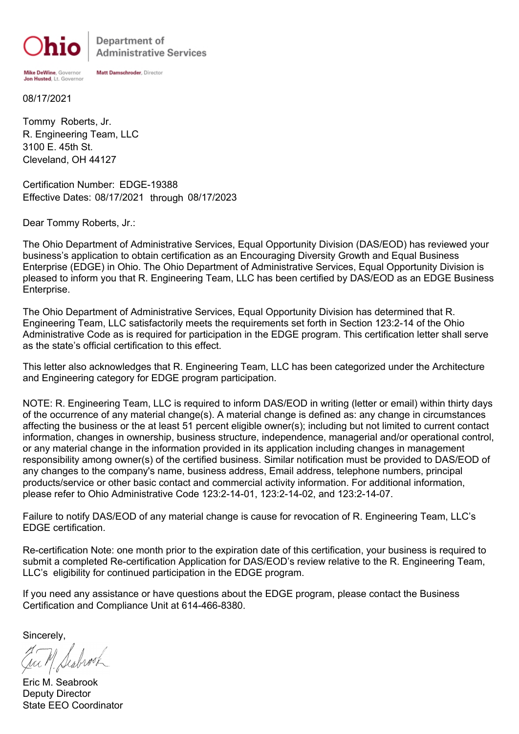Mike DeWine, Governor

Department of **Administrative Services** 

Jon Husted, Lt. Governor 08/17/2021

Cleveland, OH 44127 3100 E. 45th St. R. Engineering Team, LLC Tommy Roberts, Jr.

Certification Number: EDGE-19388 Effective Dates: 08/17/2021 through 08/17/2023

Matt Damschroder, Director

Dear Tommy Roberts, Jr.:

The Ohio Department of Administrative Services, Equal Opportunity Division (DAS/EOD) has reviewed your business's application to obtain certification as an Encouraging Diversity Growth and Equal Business Enterprise (EDGE) in Ohio. The Ohio Department of Administrative Services, Equal Opportunity Division is pleased to inform you that R. Engineering Team, LLC has been certified by DAS/EOD as an EDGE Business Enterprise.

The Ohio Department of Administrative Services, Equal Opportunity Division has determined that R. Engineering Team, LLC satisfactorily meets the requirements set forth in Section 123:2-14 of the Ohio Administrative Code as is required for participation in the EDGE program. This certification letter shall serve as the state's official certification to this effect.

This letter also acknowledges that R. Engineering Team, LLC has been categorized under the Architecture and Engineering category for EDGE program participation.

NOTE: R. Engineering Team, LLC is required to inform DAS/EOD in writing (letter or email) within thirty days of the occurrence of any material change(s). A material change is defined as: any change in circumstances affecting the business or the at least 51 percent eligible owner(s); including but not limited to current contact information, changes in ownership, business structure, independence, managerial and/or operational control, or any material change in the information provided in its application including changes in management responsibility among owner(s) of the certified business. Similar notification must be provided to DAS/EOD of any changes to the company's name, business address, Email address, telephone numbers, principal products/service or other basic contact and commercial activity information. For additional information, please refer to Ohio Administrative Code 123:2-14-01, 123:2-14-02, and 123:2-14-07.

Failure to notify DAS/EOD of any material change is cause for revocation of R. Engineering Team, LLC's EDGE certification.

Re-certification Note: one month prior to the expiration date of this certification, your business is required to submit a completed Re-certification Application for DAS/EOD's review relative to the R. Engineering Team, LLC's eligibility for continued participation in the EDGE program.

If you need any assistance or have questions about the EDGE program, please contact the Business Certification and Compliance Unit at 614-466-8380.

Sincerely,

Eric M. Seabrook Deputy Director State EEO Coordinator